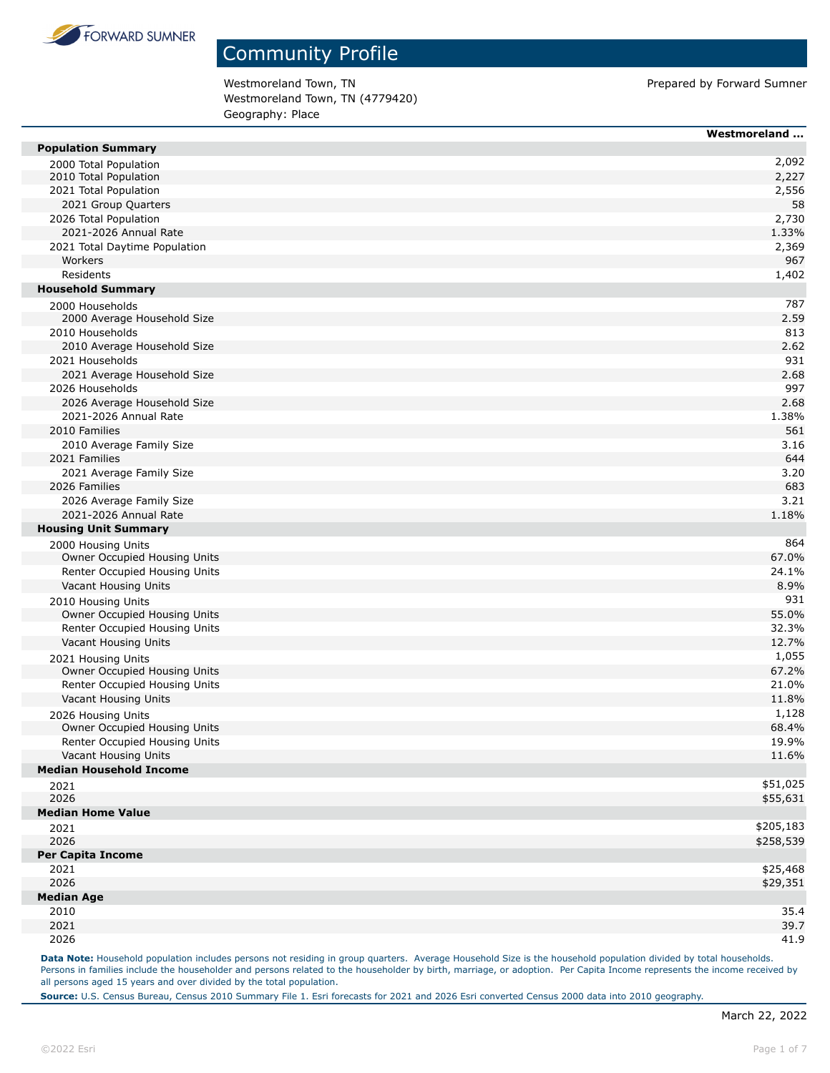

Westmoreland Town, TN external of the Material Summer of Prepared by Forward Sumner Westmoreland Town, TN (4779420) Geography: Place

|                                | Westmoreland |
|--------------------------------|--------------|
| <b>Population Summary</b>      |              |
| 2000 Total Population          | 2,092        |
| 2010 Total Population          | 2,227        |
| 2021 Total Population          | 2,556        |
| 2021 Group Quarters            | 58           |
| 2026 Total Population          | 2,730        |
| 2021-2026 Annual Rate          | 1.33%        |
| 2021 Total Daytime Population  | 2,369        |
| Workers                        | 967          |
| Residents                      | 1,402        |
| <b>Household Summary</b>       |              |
| 2000 Households                | 787          |
| 2000 Average Household Size    | 2.59         |
| 2010 Households                | 813          |
| 2010 Average Household Size    | 2.62         |
| 2021 Households                | 931          |
| 2021 Average Household Size    | 2.68         |
| 2026 Households                | 997          |
| 2026 Average Household Size    | 2.68         |
| 2021-2026 Annual Rate          | 1.38%        |
| 2010 Families                  | 561          |
| 2010 Average Family Size       | 3.16         |
| 2021 Families                  | 644          |
| 2021 Average Family Size       | 3.20         |
| 2026 Families                  | 683          |
| 2026 Average Family Size       | 3.21         |
| 2021-2026 Annual Rate          | 1.18%        |
| <b>Housing Unit Summary</b>    |              |
| 2000 Housing Units             | 864          |
| Owner Occupied Housing Units   | 67.0%        |
| Renter Occupied Housing Units  | 24.1%        |
| Vacant Housing Units           | 8.9%         |
| 2010 Housing Units             | 931          |
| Owner Occupied Housing Units   | 55.0%        |
| Renter Occupied Housing Units  | 32.3%        |
| Vacant Housing Units           | 12.7%        |
| 2021 Housing Units             | 1,055        |
| Owner Occupied Housing Units   | 67.2%        |
| Renter Occupied Housing Units  | 21.0%        |
| Vacant Housing Units           | 11.8%        |
| 2026 Housing Units             | 1,128        |
| Owner Occupied Housing Units   | 68.4%        |
| Renter Occupied Housing Units  | 19.9%        |
| Vacant Housing Units           | 11.6%        |
| <b>Median Household Income</b> |              |
| 2021                           | \$51,025     |
| 2026                           | \$55,631     |
| <b>Median Home Value</b>       |              |
| 2021                           | \$205,183    |
| 2026                           | \$258,539    |
| <b>Per Capita Income</b>       |              |
| 2021                           | \$25,468     |
| 2026                           | \$29,351     |
| <b>Median Age</b>              |              |
| 2010                           | 35.4         |
| 2021                           | 39.7         |
| 2026                           | 41.9         |

Data Note: Household population includes persons not residing in group quarters. Average Household Size is the household population divided by total households. Persons in families include the householder and persons related to the householder by birth, marriage, or adoption. Per Capita Income represents the income received by all persons aged 15 years and over divided by the total population.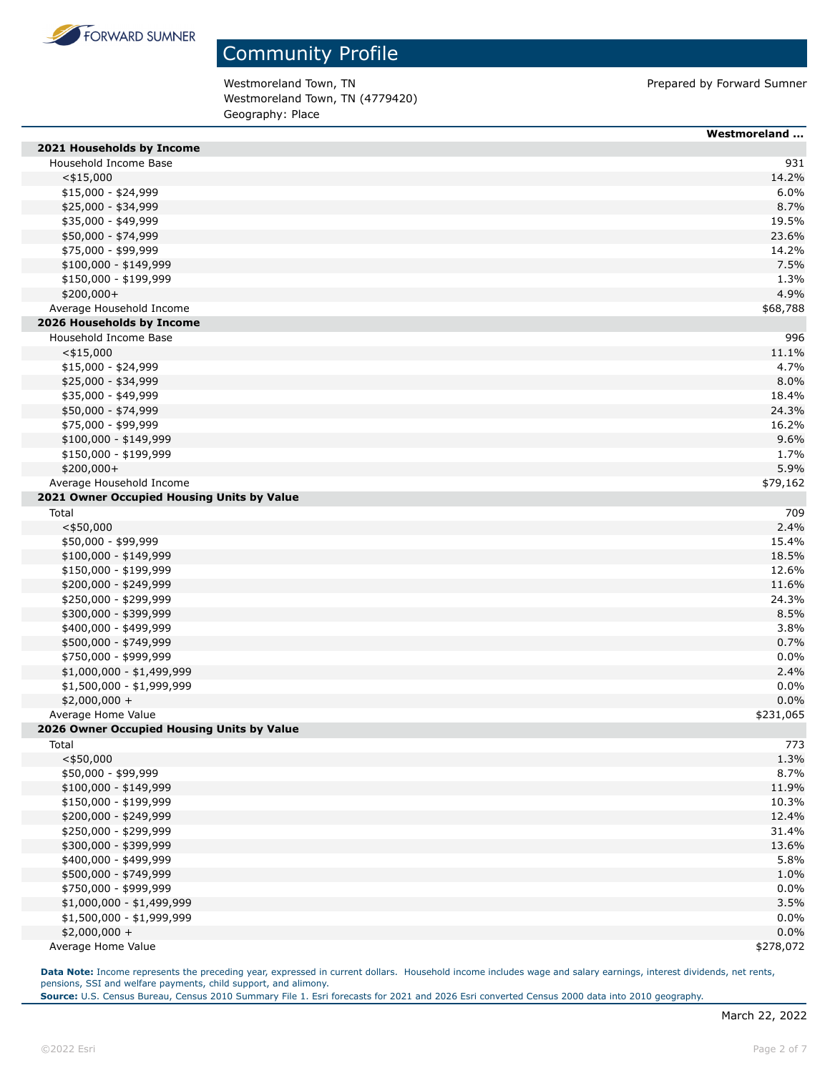

Westmoreland Town, TN external of the Material Summer of Prepared by Forward Sumner Westmoreland Town, TN (4779420) Geography: Place

|                                              | Westmoreland   |
|----------------------------------------------|----------------|
| 2021 Households by Income                    |                |
| Household Income Base                        | 931            |
| $<$ \$15,000                                 | 14.2%          |
| \$15,000 - \$24,999                          | 6.0%           |
| \$25,000 - \$34,999                          | 8.7%           |
| \$35,000 - \$49,999                          | 19.5%          |
| \$50,000 - \$74,999                          | 23.6%          |
| \$75,000 - \$99,999                          | 14.2%          |
| $$100,000 - $149,999$                        | 7.5%           |
| \$150,000 - \$199,999                        | 1.3%           |
| \$200,000+                                   | 4.9%           |
| Average Household Income                     | \$68,788       |
| 2026 Households by Income                    |                |
| Household Income Base                        | 996            |
| $<$ \$15,000                                 | 11.1%          |
| $$15,000 - $24,999$                          | 4.7%           |
| \$25,000 - \$34,999                          | 8.0%           |
| \$35,000 - \$49,999                          | 18.4%          |
| \$50,000 - \$74,999                          | 24.3%          |
| \$75,000 - \$99,999                          | 16.2%          |
| \$100,000 - \$149,999                        | 9.6%           |
| \$150,000 - \$199,999                        | 1.7%           |
| \$200,000+                                   | 5.9%           |
| Average Household Income                     | \$79,162       |
| 2021 Owner Occupied Housing Units by Value   |                |
| Total                                        | 709            |
| $<$ \$50,000                                 | 2.4%           |
| \$50,000 - \$99,999                          | 15.4%          |
| $$100,000 - $149,999$                        | 18.5%          |
| \$150,000 - \$199,999                        | 12.6%          |
| \$200,000 - \$249,999                        | 11.6%          |
| \$250,000 - \$299,999                        | 24.3%          |
| \$300,000 - \$399,999                        | 8.5%           |
| \$400,000 - \$499,999                        | 3.8%           |
| \$500,000 - \$749,999                        | 0.7%           |
| \$750,000 - \$999,999                        | 0.0%           |
| $$1,000,000 - $1,499,999$                    | 2.4%           |
| $$1,500,000 - $1,999,999$                    | 0.0%           |
| $$2,000,000 +$                               | 0.0%           |
| Average Home Value                           | \$231,065      |
| 2026 Owner Occupied Housing Units by Value   |                |
| Total                                        | 773            |
| $<$ \$50,000                                 | 1.3%           |
| \$50,000 - \$99,999<br>\$100,000 - \$149,999 | 8.7%           |
| \$150,000 - \$199,999                        | 11.9%          |
| \$200,000 - \$249,999                        | 10.3%<br>12.4% |
| \$250,000 - \$299,999                        | 31.4%          |
| \$300,000 - \$399,999                        | 13.6%          |
| \$400,000 - \$499,999                        | 5.8%           |
| \$500,000 - \$749,999                        | 1.0%           |
| \$750,000 - \$999,999                        | 0.0%           |
| $$1,000,000 - $1,499,999$                    | 3.5%           |
| \$1,500,000 - \$1,999,999                    | 0.0%           |
| $$2,000,000 +$                               | 0.0%           |
| Average Home Value                           | \$278,072      |
|                                              |                |

**Data Note:** Income represents the preceding year, expressed in current dollars. Household income includes wage and salary earnings, interest dividends, net rents, pensions, SSI and welfare payments, child support, and alimony.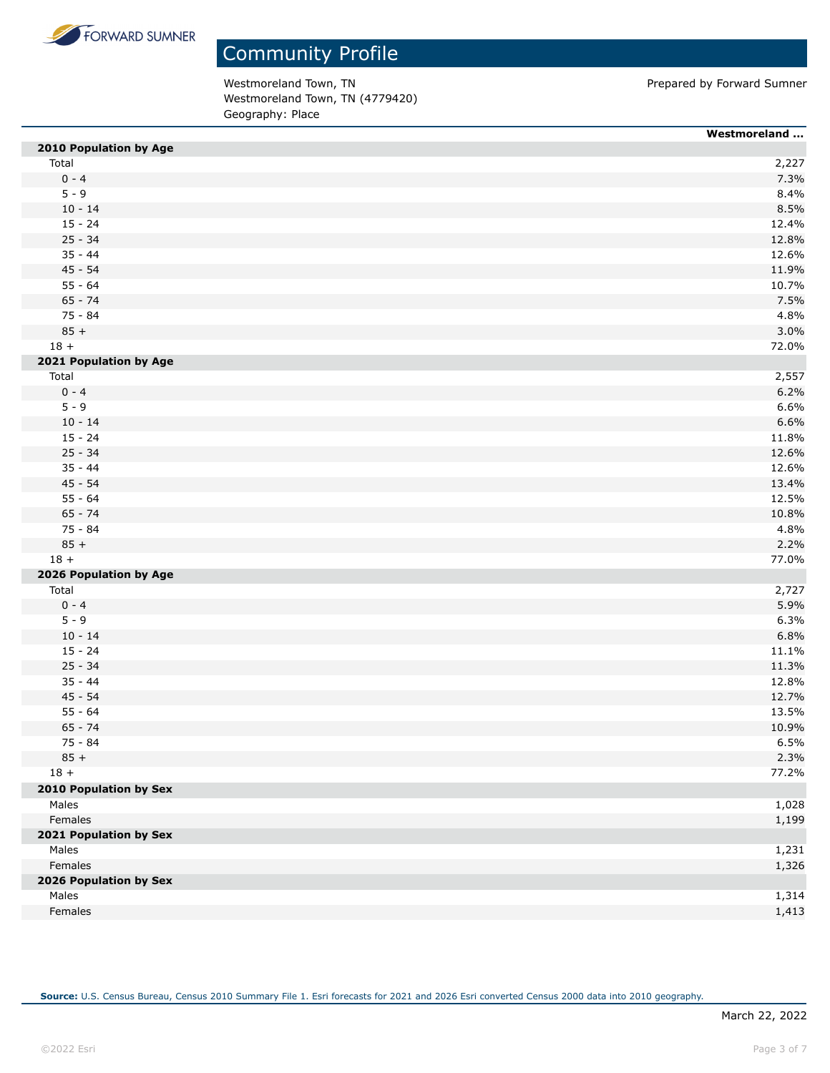

Westmoreland Town, TN external of the Material Summer of Prepared by Forward Sumner Westmoreland Town, TN (4779420) Geography: Place

|                        | Westmoreland |
|------------------------|--------------|
| 2010 Population by Age |              |
| Total                  | 2,227        |
| $0 - 4$                | 7.3%         |
| $5 - 9$                | 8.4%         |
| $10 - 14$              | 8.5%         |
| $15 - 24$              | 12.4%        |
| $25 - 34$              | 12.8%        |
| $35 - 44$              | 12.6%        |
| $45 - 54$              | 11.9%        |
| $55 - 64$              | 10.7%        |
| $65 - 74$              | 7.5%         |
| 75 - 84                | 4.8%         |
| $85 +$                 | 3.0%         |
| $18 +$                 | 72.0%        |
| 2021 Population by Age |              |
| Total                  | 2,557        |
| $0 - 4$                | 6.2%         |
| $5 - 9$                | 6.6%         |
| $10 - 14$              | 6.6%         |
| $15 - 24$              | 11.8%        |
| $25 - 34$              | 12.6%        |
| $35 - 44$              | 12.6%        |
| $45 - 54$              | 13.4%        |
| $55 - 64$              | 12.5%        |
| $65 - 74$              | 10.8%        |
| 75 - 84                | 4.8%         |
| $85 +$                 | 2.2%         |
| $18 +$                 | 77.0%        |
| 2026 Population by Age |              |
| Total                  | 2,727        |
| $0 - 4$                | 5.9%         |
| $5 - 9$                | 6.3%         |
| $10 - 14$              | 6.8%         |
| $15 - 24$              | 11.1%        |
| $25 - 34$              | 11.3%        |
| $35 - 44$              | 12.8%        |
| $45 - 54$              | 12.7%        |
| $55 - 64$              | 13.5%        |
| $65 - 74$              | 10.9%        |
| 75 - 84                | 6.5%         |
| $85 +$                 | 2.3%         |
| $18 +$                 | 77.2%        |
| 2010 Population by Sex |              |
| Males                  | 1,028        |
| Females                | 1,199        |
| 2021 Population by Sex |              |
| Males                  | 1,231        |
| Females                | 1,326        |
| 2026 Population by Sex |              |
| Males                  | 1,314        |
| Females                | 1,413        |
|                        |              |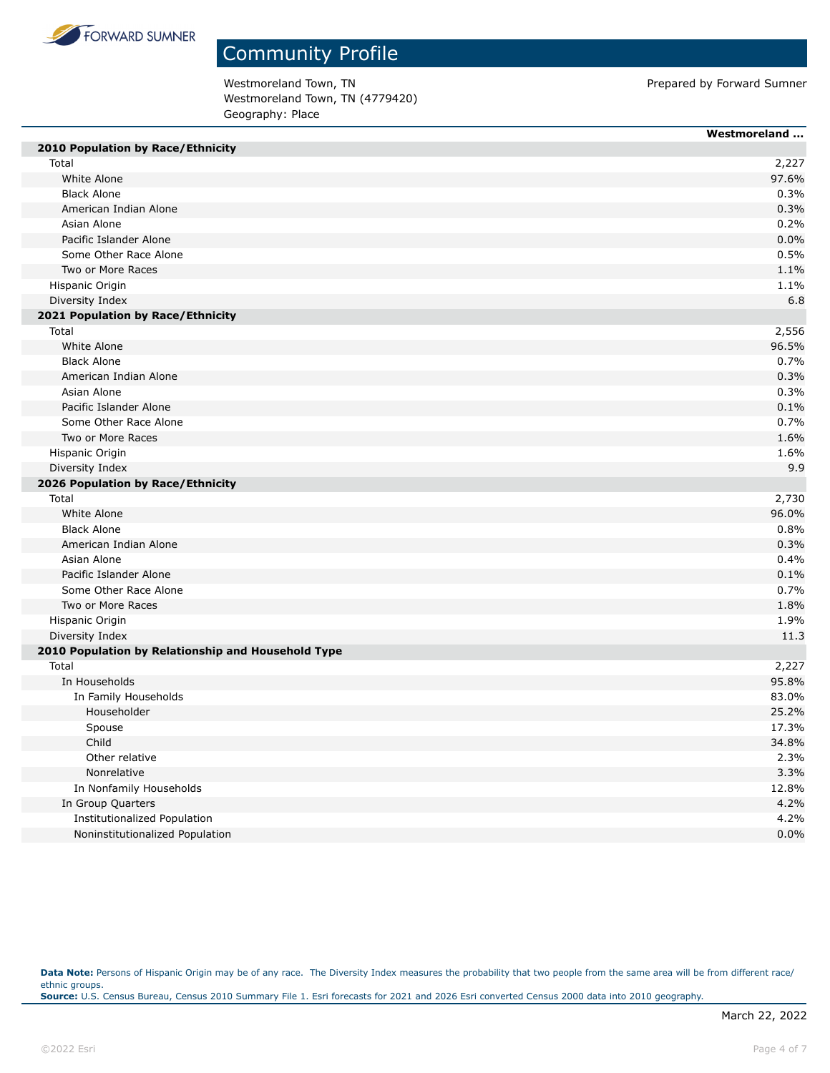

Westmoreland Town, TN external of the Material Summer of Prepared by Forward Sumner Westmoreland Town, TN (4779420) Geography: Place

| 2010 Population by Race/Ethnicity                  | Westmoreland |
|----------------------------------------------------|--------------|
| Total                                              | 2,227        |
| White Alone                                        | 97.6%        |
| <b>Black Alone</b>                                 | 0.3%         |
| American Indian Alone                              | 0.3%         |
| Asian Alone                                        | 0.2%         |
| Pacific Islander Alone                             | 0.0%         |
| Some Other Race Alone                              | 0.5%         |
| Two or More Races                                  | 1.1%         |
| Hispanic Origin                                    | 1.1%         |
| Diversity Index                                    | 6.8          |
| 2021 Population by Race/Ethnicity                  |              |
| Total                                              | 2,556        |
| White Alone                                        | 96.5%        |
| <b>Black Alone</b>                                 | 0.7%         |
| American Indian Alone                              | 0.3%         |
| Asian Alone                                        | 0.3%         |
| Pacific Islander Alone                             | 0.1%         |
| Some Other Race Alone                              | 0.7%         |
| Two or More Races                                  | 1.6%         |
| Hispanic Origin                                    | 1.6%         |
| Diversity Index                                    | 9.9          |
| 2026 Population by Race/Ethnicity                  |              |
| Total                                              | 2,730        |
| White Alone                                        | 96.0%        |
| <b>Black Alone</b>                                 | 0.8%         |
| American Indian Alone                              | 0.3%         |
| Asian Alone                                        | 0.4%         |
| Pacific Islander Alone                             | 0.1%         |
| Some Other Race Alone                              | 0.7%         |
| Two or More Races                                  | 1.8%         |
| Hispanic Origin                                    | 1.9%         |
| Diversity Index                                    | 11.3         |
| 2010 Population by Relationship and Household Type |              |
| Total                                              | 2,227        |
| In Households                                      | 95.8%        |
| In Family Households                               | 83.0%        |
| Householder                                        | 25.2%        |
| Spouse                                             | 17.3%        |
| Child                                              | 34.8%        |
| Other relative                                     | 2.3%         |
| Nonrelative                                        | 3.3%         |
| In Nonfamily Households                            | 12.8%        |
| In Group Quarters                                  | 4.2%         |
| Institutionalized Population                       | 4.2%         |
| Noninstitutionalized Population                    | 0.0%         |

Data Note: Persons of Hispanic Origin may be of any race. The Diversity Index measures the probability that two people from the same area will be from different race/ ethnic groups. **Source:** U.S. Census Bureau, Census 2010 Summary File 1. Esri forecasts for 2021 and 2026 Esri converted Census 2000 data into 2010 geography.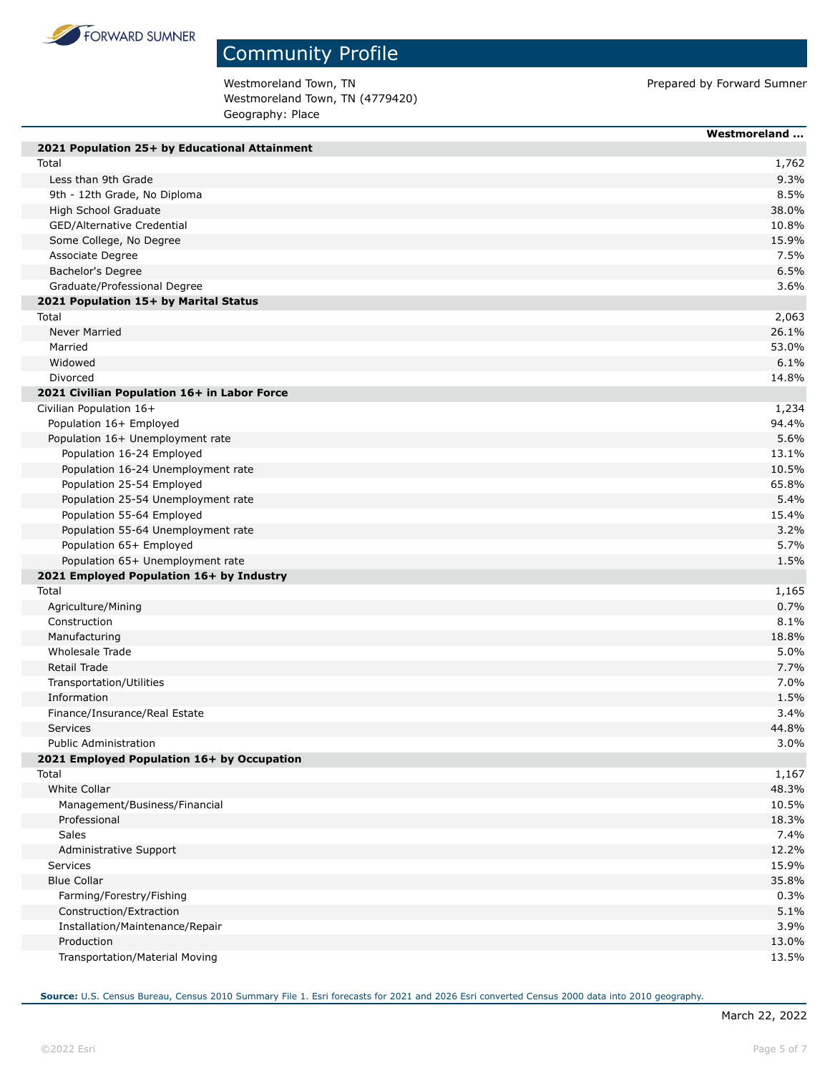

Westmoreland Town, TN external of the Material Summer of Prepared by Forward Sumner Westmoreland Town, TN (4779420) Geography: Place

|                                               | Westmoreland |
|-----------------------------------------------|--------------|
| 2021 Population 25+ by Educational Attainment |              |
| Total                                         | 1,762        |
| Less than 9th Grade                           | 9.3%         |
| 9th - 12th Grade, No Diploma                  | 8.5%         |
| High School Graduate                          | 38.0%        |
| GED/Alternative Credential                    | 10.8%        |
| Some College, No Degree                       | 15.9%        |
| Associate Degree                              | 7.5%         |
| Bachelor's Degree                             | 6.5%         |
| Graduate/Professional Degree                  | 3.6%         |
| 2021 Population 15+ by Marital Status         |              |
| Total                                         | 2,063        |
| <b>Never Married</b>                          | 26.1%        |
| Married                                       | 53.0%        |
| Widowed                                       | 6.1%         |
| Divorced                                      | 14.8%        |
| 2021 Civilian Population 16+ in Labor Force   |              |
| Civilian Population 16+                       | 1,234        |
| Population 16+ Employed                       | 94.4%        |
| Population 16+ Unemployment rate              | 5.6%         |
| Population 16-24 Employed                     | 13.1%        |
| Population 16-24 Unemployment rate            | 10.5%        |
| Population 25-54 Employed                     | 65.8%        |
| Population 25-54 Unemployment rate            | 5.4%         |
| Population 55-64 Employed                     | 15.4%        |
| Population 55-64 Unemployment rate            | 3.2%         |
| Population 65+ Employed                       | 5.7%         |
| Population 65+ Unemployment rate              | 1.5%         |
| 2021 Employed Population 16+ by Industry      |              |
| Total                                         | 1,165        |
| Agriculture/Mining                            | 0.7%         |
| Construction                                  | 8.1%         |
| Manufacturing                                 | 18.8%        |
| Wholesale Trade                               | 5.0%         |
| Retail Trade                                  | 7.7%         |
| Transportation/Utilities                      | 7.0%         |
| Information                                   | 1.5%         |
| Finance/Insurance/Real Estate                 | 3.4%         |
| <b>Services</b>                               | 44.8%        |
| <b>Public Administration</b>                  | 3.0%         |
| 2021 Employed Population 16+ by Occupation    |              |
| Total                                         | 1,167        |
| <b>White Collar</b>                           | 48.3%        |
| Management/Business/Financial                 | 10.5%        |
| Professional                                  | 18.3%        |
| Sales                                         | 7.4%         |
| Administrative Support                        | 12.2%        |
| <b>Services</b>                               | 15.9%        |
| <b>Blue Collar</b>                            | 35.8%        |
| Farming/Forestry/Fishing                      | 0.3%         |
| Construction/Extraction                       | 5.1%         |
| Installation/Maintenance/Repair               | 3.9%         |
| Production                                    | 13.0%        |
| Transportation/Material Moving                | 13.5%        |
|                                               |              |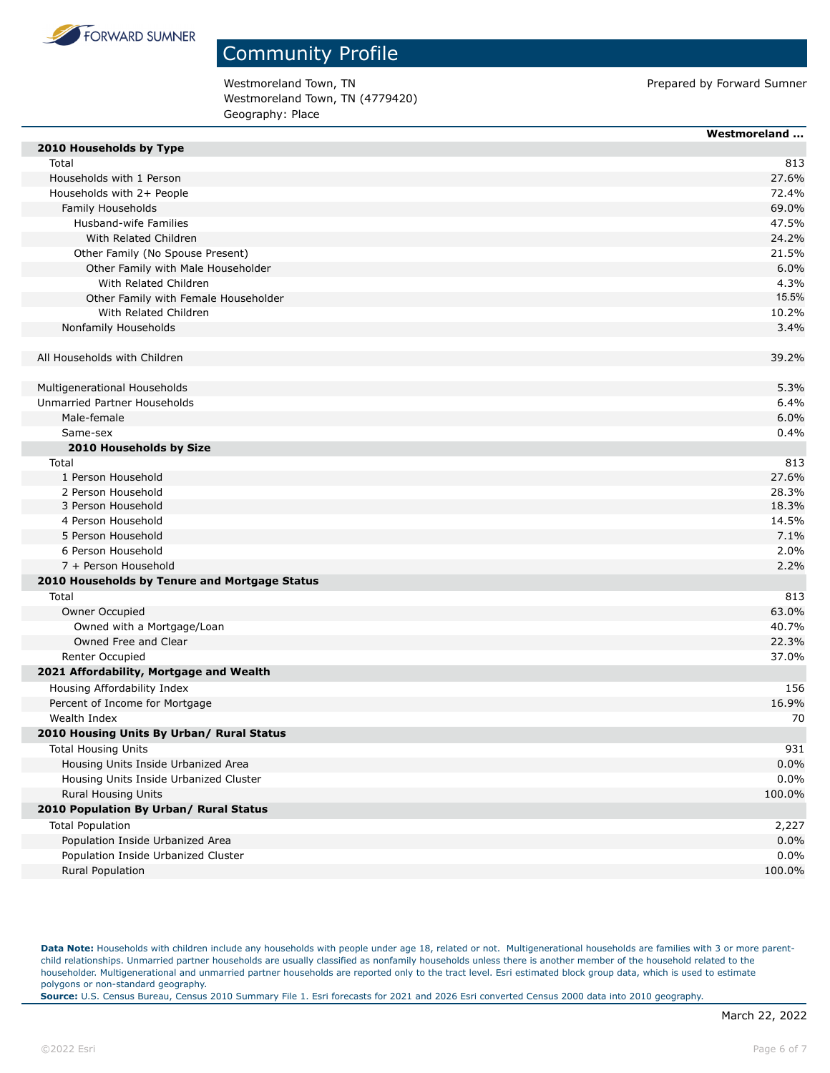

Westmoreland Town, TN **Prepared by Forward Sumner** Prepared by Forward Sumner Westmoreland Town, TN (4779420) Geography: Place

| 2010 Households by Type<br>Total<br>813<br>Households with 1 Person<br>27.6%<br>Households with 2+ People<br>72.4%<br>Family Households<br>69.0%<br>Husband-wife Families<br>47.5%<br>With Related Children<br>24.2%<br>Other Family (No Spouse Present)<br>21.5%<br>6.0%<br>Other Family with Male Householder<br>With Related Children<br>4.3%<br>15.5%<br>Other Family with Female Householder<br>With Related Children<br>10.2%<br>3.4%<br>Nonfamily Households<br>All Households with Children<br>39.2%<br>5.3%<br>Multigenerational Households<br>Unmarried Partner Households<br>6.4%<br>Male-female<br>6.0%<br>Same-sex<br>0.4%<br>2010 Households by Size<br>813<br>Total<br>1 Person Household<br>27.6%<br>2 Person Household<br>28.3%<br>3 Person Household<br>18.3%<br>4 Person Household<br>14.5%<br>5 Person Household<br>7.1%<br>6 Person Household<br>2.0%<br>2.2%<br>7 + Person Household<br>2010 Households by Tenure and Mortgage Status<br>Total<br>813<br>Owner Occupied<br>63.0%<br>Owned with a Mortgage/Loan<br>40.7%<br>Owned Free and Clear<br>22.3%<br>Renter Occupied<br>37.0%<br>2021 Affordability, Mortgage and Wealth<br>Housing Affordability Index<br>156<br>Percent of Income for Mortgage<br>16.9%<br>Wealth Index<br>70<br>2010 Housing Units By Urban/ Rural Status<br>931<br><b>Total Housing Units</b><br>Housing Units Inside Urbanized Area<br>0.0%<br>0.0%<br>Housing Units Inside Urbanized Cluster<br>Rural Housing Units<br>100.0%<br>2010 Population By Urban/ Rural Status<br><b>Total Population</b><br>2,227<br>Population Inside Urbanized Area<br>0.0%<br>0.0%<br>Population Inside Urbanized Cluster<br>Rural Population<br>100.0% | Westmoreland |
|-----------------------------------------------------------------------------------------------------------------------------------------------------------------------------------------------------------------------------------------------------------------------------------------------------------------------------------------------------------------------------------------------------------------------------------------------------------------------------------------------------------------------------------------------------------------------------------------------------------------------------------------------------------------------------------------------------------------------------------------------------------------------------------------------------------------------------------------------------------------------------------------------------------------------------------------------------------------------------------------------------------------------------------------------------------------------------------------------------------------------------------------------------------------------------------------------------------------------------------------------------------------------------------------------------------------------------------------------------------------------------------------------------------------------------------------------------------------------------------------------------------------------------------------------------------------------------------------------------------------------------------------------------------------------------------------|--------------|
|                                                                                                                                                                                                                                                                                                                                                                                                                                                                                                                                                                                                                                                                                                                                                                                                                                                                                                                                                                                                                                                                                                                                                                                                                                                                                                                                                                                                                                                                                                                                                                                                                                                                                         |              |
|                                                                                                                                                                                                                                                                                                                                                                                                                                                                                                                                                                                                                                                                                                                                                                                                                                                                                                                                                                                                                                                                                                                                                                                                                                                                                                                                                                                                                                                                                                                                                                                                                                                                                         |              |
|                                                                                                                                                                                                                                                                                                                                                                                                                                                                                                                                                                                                                                                                                                                                                                                                                                                                                                                                                                                                                                                                                                                                                                                                                                                                                                                                                                                                                                                                                                                                                                                                                                                                                         |              |
|                                                                                                                                                                                                                                                                                                                                                                                                                                                                                                                                                                                                                                                                                                                                                                                                                                                                                                                                                                                                                                                                                                                                                                                                                                                                                                                                                                                                                                                                                                                                                                                                                                                                                         |              |
|                                                                                                                                                                                                                                                                                                                                                                                                                                                                                                                                                                                                                                                                                                                                                                                                                                                                                                                                                                                                                                                                                                                                                                                                                                                                                                                                                                                                                                                                                                                                                                                                                                                                                         |              |
|                                                                                                                                                                                                                                                                                                                                                                                                                                                                                                                                                                                                                                                                                                                                                                                                                                                                                                                                                                                                                                                                                                                                                                                                                                                                                                                                                                                                                                                                                                                                                                                                                                                                                         |              |
|                                                                                                                                                                                                                                                                                                                                                                                                                                                                                                                                                                                                                                                                                                                                                                                                                                                                                                                                                                                                                                                                                                                                                                                                                                                                                                                                                                                                                                                                                                                                                                                                                                                                                         |              |
|                                                                                                                                                                                                                                                                                                                                                                                                                                                                                                                                                                                                                                                                                                                                                                                                                                                                                                                                                                                                                                                                                                                                                                                                                                                                                                                                                                                                                                                                                                                                                                                                                                                                                         |              |
|                                                                                                                                                                                                                                                                                                                                                                                                                                                                                                                                                                                                                                                                                                                                                                                                                                                                                                                                                                                                                                                                                                                                                                                                                                                                                                                                                                                                                                                                                                                                                                                                                                                                                         |              |
|                                                                                                                                                                                                                                                                                                                                                                                                                                                                                                                                                                                                                                                                                                                                                                                                                                                                                                                                                                                                                                                                                                                                                                                                                                                                                                                                                                                                                                                                                                                                                                                                                                                                                         |              |
|                                                                                                                                                                                                                                                                                                                                                                                                                                                                                                                                                                                                                                                                                                                                                                                                                                                                                                                                                                                                                                                                                                                                                                                                                                                                                                                                                                                                                                                                                                                                                                                                                                                                                         |              |
|                                                                                                                                                                                                                                                                                                                                                                                                                                                                                                                                                                                                                                                                                                                                                                                                                                                                                                                                                                                                                                                                                                                                                                                                                                                                                                                                                                                                                                                                                                                                                                                                                                                                                         |              |
|                                                                                                                                                                                                                                                                                                                                                                                                                                                                                                                                                                                                                                                                                                                                                                                                                                                                                                                                                                                                                                                                                                                                                                                                                                                                                                                                                                                                                                                                                                                                                                                                                                                                                         |              |
|                                                                                                                                                                                                                                                                                                                                                                                                                                                                                                                                                                                                                                                                                                                                                                                                                                                                                                                                                                                                                                                                                                                                                                                                                                                                                                                                                                                                                                                                                                                                                                                                                                                                                         |              |
|                                                                                                                                                                                                                                                                                                                                                                                                                                                                                                                                                                                                                                                                                                                                                                                                                                                                                                                                                                                                                                                                                                                                                                                                                                                                                                                                                                                                                                                                                                                                                                                                                                                                                         |              |
|                                                                                                                                                                                                                                                                                                                                                                                                                                                                                                                                                                                                                                                                                                                                                                                                                                                                                                                                                                                                                                                                                                                                                                                                                                                                                                                                                                                                                                                                                                                                                                                                                                                                                         |              |
|                                                                                                                                                                                                                                                                                                                                                                                                                                                                                                                                                                                                                                                                                                                                                                                                                                                                                                                                                                                                                                                                                                                                                                                                                                                                                                                                                                                                                                                                                                                                                                                                                                                                                         |              |
|                                                                                                                                                                                                                                                                                                                                                                                                                                                                                                                                                                                                                                                                                                                                                                                                                                                                                                                                                                                                                                                                                                                                                                                                                                                                                                                                                                                                                                                                                                                                                                                                                                                                                         |              |
|                                                                                                                                                                                                                                                                                                                                                                                                                                                                                                                                                                                                                                                                                                                                                                                                                                                                                                                                                                                                                                                                                                                                                                                                                                                                                                                                                                                                                                                                                                                                                                                                                                                                                         |              |
|                                                                                                                                                                                                                                                                                                                                                                                                                                                                                                                                                                                                                                                                                                                                                                                                                                                                                                                                                                                                                                                                                                                                                                                                                                                                                                                                                                                                                                                                                                                                                                                                                                                                                         |              |
|                                                                                                                                                                                                                                                                                                                                                                                                                                                                                                                                                                                                                                                                                                                                                                                                                                                                                                                                                                                                                                                                                                                                                                                                                                                                                                                                                                                                                                                                                                                                                                                                                                                                                         |              |
|                                                                                                                                                                                                                                                                                                                                                                                                                                                                                                                                                                                                                                                                                                                                                                                                                                                                                                                                                                                                                                                                                                                                                                                                                                                                                                                                                                                                                                                                                                                                                                                                                                                                                         |              |
|                                                                                                                                                                                                                                                                                                                                                                                                                                                                                                                                                                                                                                                                                                                                                                                                                                                                                                                                                                                                                                                                                                                                                                                                                                                                                                                                                                                                                                                                                                                                                                                                                                                                                         |              |
|                                                                                                                                                                                                                                                                                                                                                                                                                                                                                                                                                                                                                                                                                                                                                                                                                                                                                                                                                                                                                                                                                                                                                                                                                                                                                                                                                                                                                                                                                                                                                                                                                                                                                         |              |
|                                                                                                                                                                                                                                                                                                                                                                                                                                                                                                                                                                                                                                                                                                                                                                                                                                                                                                                                                                                                                                                                                                                                                                                                                                                                                                                                                                                                                                                                                                                                                                                                                                                                                         |              |
|                                                                                                                                                                                                                                                                                                                                                                                                                                                                                                                                                                                                                                                                                                                                                                                                                                                                                                                                                                                                                                                                                                                                                                                                                                                                                                                                                                                                                                                                                                                                                                                                                                                                                         |              |
|                                                                                                                                                                                                                                                                                                                                                                                                                                                                                                                                                                                                                                                                                                                                                                                                                                                                                                                                                                                                                                                                                                                                                                                                                                                                                                                                                                                                                                                                                                                                                                                                                                                                                         |              |
|                                                                                                                                                                                                                                                                                                                                                                                                                                                                                                                                                                                                                                                                                                                                                                                                                                                                                                                                                                                                                                                                                                                                                                                                                                                                                                                                                                                                                                                                                                                                                                                                                                                                                         |              |
|                                                                                                                                                                                                                                                                                                                                                                                                                                                                                                                                                                                                                                                                                                                                                                                                                                                                                                                                                                                                                                                                                                                                                                                                                                                                                                                                                                                                                                                                                                                                                                                                                                                                                         |              |
|                                                                                                                                                                                                                                                                                                                                                                                                                                                                                                                                                                                                                                                                                                                                                                                                                                                                                                                                                                                                                                                                                                                                                                                                                                                                                                                                                                                                                                                                                                                                                                                                                                                                                         |              |
|                                                                                                                                                                                                                                                                                                                                                                                                                                                                                                                                                                                                                                                                                                                                                                                                                                                                                                                                                                                                                                                                                                                                                                                                                                                                                                                                                                                                                                                                                                                                                                                                                                                                                         |              |
|                                                                                                                                                                                                                                                                                                                                                                                                                                                                                                                                                                                                                                                                                                                                                                                                                                                                                                                                                                                                                                                                                                                                                                                                                                                                                                                                                                                                                                                                                                                                                                                                                                                                                         |              |
|                                                                                                                                                                                                                                                                                                                                                                                                                                                                                                                                                                                                                                                                                                                                                                                                                                                                                                                                                                                                                                                                                                                                                                                                                                                                                                                                                                                                                                                                                                                                                                                                                                                                                         |              |
|                                                                                                                                                                                                                                                                                                                                                                                                                                                                                                                                                                                                                                                                                                                                                                                                                                                                                                                                                                                                                                                                                                                                                                                                                                                                                                                                                                                                                                                                                                                                                                                                                                                                                         |              |
|                                                                                                                                                                                                                                                                                                                                                                                                                                                                                                                                                                                                                                                                                                                                                                                                                                                                                                                                                                                                                                                                                                                                                                                                                                                                                                                                                                                                                                                                                                                                                                                                                                                                                         |              |
|                                                                                                                                                                                                                                                                                                                                                                                                                                                                                                                                                                                                                                                                                                                                                                                                                                                                                                                                                                                                                                                                                                                                                                                                                                                                                                                                                                                                                                                                                                                                                                                                                                                                                         |              |
|                                                                                                                                                                                                                                                                                                                                                                                                                                                                                                                                                                                                                                                                                                                                                                                                                                                                                                                                                                                                                                                                                                                                                                                                                                                                                                                                                                                                                                                                                                                                                                                                                                                                                         |              |
|                                                                                                                                                                                                                                                                                                                                                                                                                                                                                                                                                                                                                                                                                                                                                                                                                                                                                                                                                                                                                                                                                                                                                                                                                                                                                                                                                                                                                                                                                                                                                                                                                                                                                         |              |
|                                                                                                                                                                                                                                                                                                                                                                                                                                                                                                                                                                                                                                                                                                                                                                                                                                                                                                                                                                                                                                                                                                                                                                                                                                                                                                                                                                                                                                                                                                                                                                                                                                                                                         |              |
|                                                                                                                                                                                                                                                                                                                                                                                                                                                                                                                                                                                                                                                                                                                                                                                                                                                                                                                                                                                                                                                                                                                                                                                                                                                                                                                                                                                                                                                                                                                                                                                                                                                                                         |              |
|                                                                                                                                                                                                                                                                                                                                                                                                                                                                                                                                                                                                                                                                                                                                                                                                                                                                                                                                                                                                                                                                                                                                                                                                                                                                                                                                                                                                                                                                                                                                                                                                                                                                                         |              |
|                                                                                                                                                                                                                                                                                                                                                                                                                                                                                                                                                                                                                                                                                                                                                                                                                                                                                                                                                                                                                                                                                                                                                                                                                                                                                                                                                                                                                                                                                                                                                                                                                                                                                         |              |
|                                                                                                                                                                                                                                                                                                                                                                                                                                                                                                                                                                                                                                                                                                                                                                                                                                                                                                                                                                                                                                                                                                                                                                                                                                                                                                                                                                                                                                                                                                                                                                                                                                                                                         |              |
|                                                                                                                                                                                                                                                                                                                                                                                                                                                                                                                                                                                                                                                                                                                                                                                                                                                                                                                                                                                                                                                                                                                                                                                                                                                                                                                                                                                                                                                                                                                                                                                                                                                                                         |              |
|                                                                                                                                                                                                                                                                                                                                                                                                                                                                                                                                                                                                                                                                                                                                                                                                                                                                                                                                                                                                                                                                                                                                                                                                                                                                                                                                                                                                                                                                                                                                                                                                                                                                                         |              |
|                                                                                                                                                                                                                                                                                                                                                                                                                                                                                                                                                                                                                                                                                                                                                                                                                                                                                                                                                                                                                                                                                                                                                                                                                                                                                                                                                                                                                                                                                                                                                                                                                                                                                         |              |
|                                                                                                                                                                                                                                                                                                                                                                                                                                                                                                                                                                                                                                                                                                                                                                                                                                                                                                                                                                                                                                                                                                                                                                                                                                                                                                                                                                                                                                                                                                                                                                                                                                                                                         |              |

Data Note: Households with children include any households with people under age 18, related or not. Multigenerational households are families with 3 or more parentchild relationships. Unmarried partner households are usually classified as nonfamily households unless there is another member of the household related to the householder. Multigenerational and unmarried partner households are reported only to the tract level. Esri estimated block group data, which is used to estimate polygons or non-standard geography.